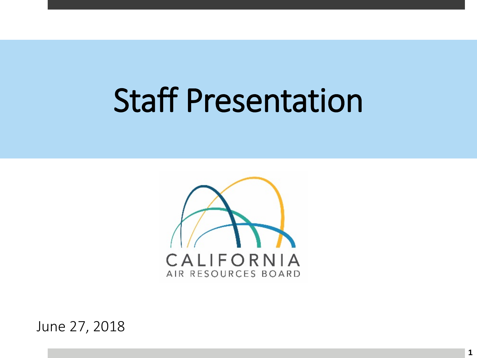# Staff Presentation



June 27, 2018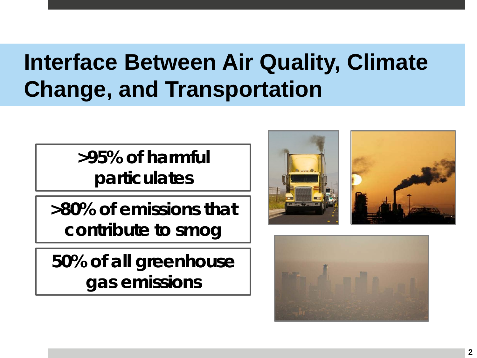### **Interface Between Air Quality, Climate Change, and Transportation**

 **>95% of harmful particulates** 

 **>80% of emissions that contribute to smog** 

 **50% of all greenhouse gas emissions** 



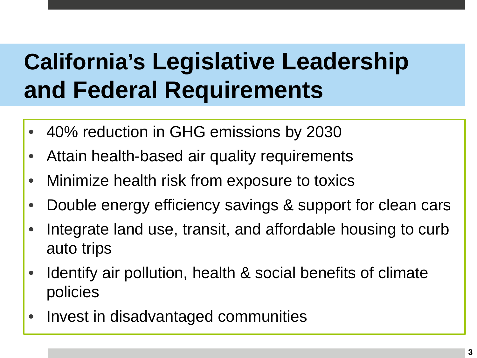# **California's Legislative Leadership and Federal Requirements**

- 40% reduction in GHG emissions by 2030
- Attain health-based air quality requirements
- Minimize health risk from exposure to toxics
- Double energy efficiency savings & support for clean cars
- • Integrate land use, transit, and affordable housing to curb auto trips
- • Identify air pollution, health & social benefits of climate policies
- Invest in disadvantaged communities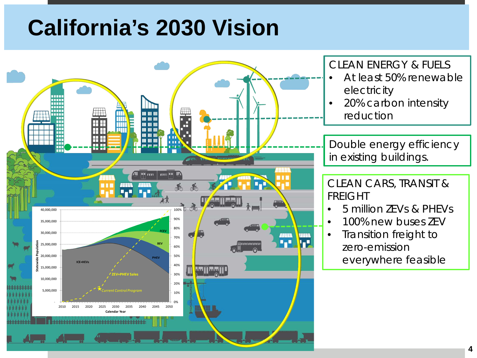#### **California's 2030 Vision**



#### CLEAN ENERGY & FUELS

- At least 50% renewable electricity
- 20% carbon intensity reduction

~=====71 Double energy efficiency **If all in existing buildings.**<br>The contract of the contract of the contract of the contract of the contract of the contract of the contract of the contract of the contract of the contract of the contract of the contract o

 CLEAN CARS, TRANSIT & FREIGHT

- 5 million ZEVs & PHEVs
- 100% new buses ZEV

• Transition freight to zero-emission everywhere feasible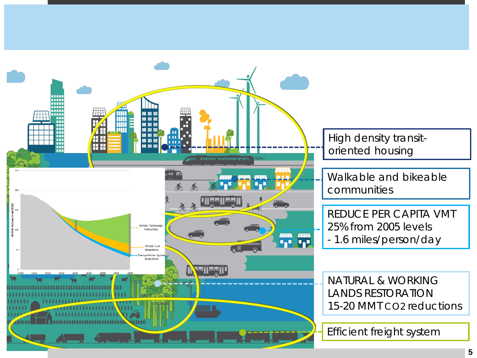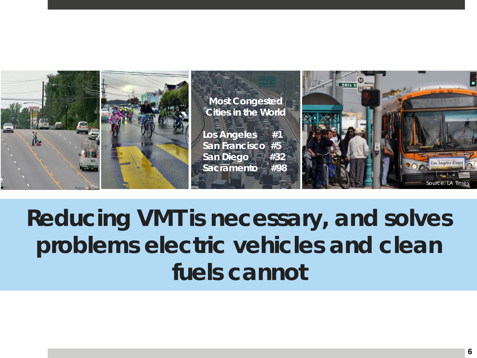

## **Reducing VMT is necessary, and solves problems electric vehicles and clean fuels cannot**